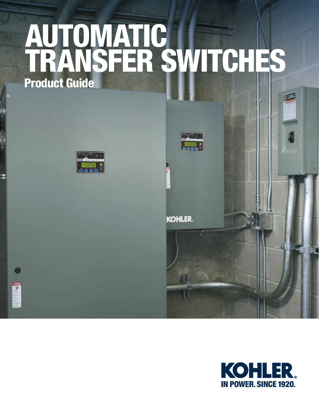# AUTOMATIC TRANSFER SWITCHES Product Guide







TII

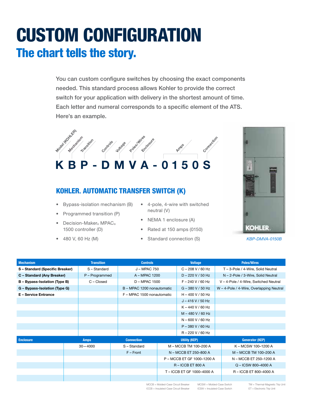## CUSTOM CONFIGURATION The chart tells the story.

You can custom configure switches by choosing the exact components needed. This standard process allows Kohler to provide the correct switch for your application with delivery in the shortest amount of time. Each letter and numeral corresponds to a specific element of the ATS. Here's an example.



#### KOHLER. AUTOMATIC TRANSFER SWITCH (K)

- Bypass-isolation mechanism (B)
- Programmed transition (P)
- Decision-Maker® MPAC® 1500 controller (D)
- 480 V, 60 Hz (M)
- 4-pole, 4-wire with switched neutral (V)
	- NEMA 1 enclosure (A)
	- Rated at 150 amps (0150)
	- Standard connection (S)



*KBP-DMVA-0150B*

| <b>Mechanism</b>              | <b>Transition</b> | <b>Controls</b>            | <b>Voltage</b>             | <b>Poles/Wires</b>                       |  |
|-------------------------------|-------------------|----------------------------|----------------------------|------------------------------------------|--|
| S-Standard (Specific Breaker) | S-Standard        | J - MPAC 750               | $C - 208 V / 60 Hz$        | T - 3-Pole / 4-Wire, Solid Neutral       |  |
| C - Standard (Any Breaker)    | P - Programmed    | A - MPAC 1200              | $D - 220 V / 50 Hz$        | N - 2-Pole / 3-Wire, Solid Neutral       |  |
| B - Bypass-Isolation (Type B) | C - Closed        | D - MPAC 1500              | $F - 240 V / 60 Hz$        | V - 4-Pole / 4-Wire, Switched Neutral    |  |
| G - Bypass-Isolation (Type G) |                   | B - MPAC 1200 nonautomatic | $G - 380 V / 50 Hz$        | W - 4-Pole / 4-Wire, Overlapping Neutral |  |
| <b>E</b> - Service Entrance   |                   | F - MPAC 1500 nonautomatic | $H - 400 V / 50 Hz$        |                                          |  |
|                               |                   |                            | $J - 416 V / 50 Hz$        |                                          |  |
|                               |                   |                            | $K - 440 V / 60 Hz$        |                                          |  |
|                               |                   |                            | $M - 480 V / 60 Hz$        |                                          |  |
|                               |                   |                            | $N - 600 V / 60 Hz$        |                                          |  |
|                               |                   |                            | $P - 380 V / 60 Hz$        |                                          |  |
|                               |                   |                            | $R - 220 V / 60 Hz$        |                                          |  |
| <b>Enclosure</b>              | <b>Amps</b>       | <b>Connection</b>          | <b>Utility (KEP)</b>       | <b>Generator (KEP)</b>                   |  |
|                               | $30 - 4000$       | S - Standard               | M - MCCB TM 100-200 A      | K-MCSW 100-1200 A                        |  |
|                               |                   | $F$ – Front                | N - MCCB ET 250-800 A      | M - MCCB TM 100-200 A                    |  |
|                               |                   |                            | P - MCCB ET GF 1000-1200 A | N - MCCB ET 250-1200 A                   |  |
|                               |                   |                            | $R - ICCB ET 800 A$        | $Q - ICSW 800 - 4000 A$                  |  |
|                               |                   |                            | T - ICCB ET GF 1000-4000 A | R - ICCB ET 800-4000 A                   |  |
|                               |                   |                            |                            |                                          |  |

MCCB = Molded-Case Circuit Breaker ICCB = Insulated-Case Circuit Breaker

MCSW = Molded-Case Switch ICSW = Insulated-Case Switch

TM = Thermal-Magnetic Trip Unit ET = Electronic Trip Unit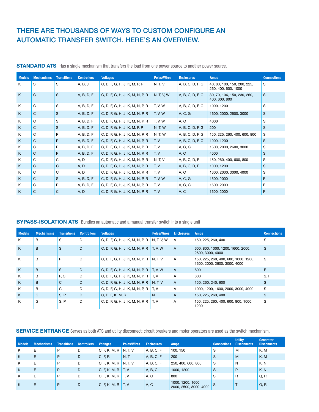#### THERE ARE THOUSANDS OF WAYS TO CUSTOM CONFIGURE AN AUTOMATIC TRANSFER SWITCH. HERE'S AN OVERVIEW.

| <b>Models</b> | <b>Mechanisms</b> | <b>Transitions</b> | <b>Controllers</b> | <b>Voltages</b>                 | <b>Poles/Wires</b> | <b>Enclosures</b> | <b>Amps</b>                                        | <b>Connections</b> |
|---------------|-------------------|--------------------|--------------------|---------------------------------|--------------------|-------------------|----------------------------------------------------|--------------------|
| K             | S                 | S                  | A, B, J            | C, D, F, G, H, J, K, M, P, R    | N, T, V            | A, B, C, D, F, G  | 40, 80, 100, 150, 200, 225,<br>260, 400, 600, 1000 | S                  |
| K             | $\mathsf{C}$      | S                  | A, B, D, F         | C, D, F, G, H, J, K, M, N, P, R | N, T, V, W         | A, B, C, D, F, G  | 30, 70, 104, 150, 230, 260,<br>400, 600, 800       | S                  |
| K             | C                 | S                  | A, B, D, F         | C, D, F, G, H, J, K, M, N, P, R | <b>T, V, W</b>     | A, B, C, D, F, G  | 1000, 1200                                         | S                  |
| K             | $\mathsf{C}$      | S                  | A, B, D, F         | C, D, F, G, H, J, K, M, N, P, R | <b>T, V, W</b>     | A, C, G           | 1600, 2000, 2600, 3000                             | S                  |
| K             | C                 | S                  | A, B, D, F         | C, D, F, G, H, J, K, M, N, P, R | <b>T. V. W.</b>    | A, C              | 4000                                               | S                  |
| K             | $\mathsf{C}$      | S                  | A, B, D, F         | C, D, F, G, H, J, K, M, P, R    | N, T, W            | A, B, C, D, F, G  | 200                                                | S                  |
| K             | C                 | P                  | A, B, D, F         | C, D, F, G, H, J, K, M, N, P, R | N, T, W            | A, B, C, D, F, G  | 150, 225, 260, 400, 600, 800                       | S                  |
| K             | $\mathsf{C}$      | P                  | A, B, D, F         | C, D, F, G, H, J, K, M, N, P, R | T, V               | A, B, C, D, F, G  | 1000, 1200                                         | S.                 |
| K             | C                 | P                  | A, B, D, F         | C, D, F, G, H, J, K, M, N, P, R | T, V               | A, C, G           | 1600, 2000, 2600, 3000                             | S                  |
| K             | $\mathsf{C}$      | P                  | A, B, D, F         | C, D, F, G, H, J, K, M, N, P, R | T, V               | A, C              | 4000                                               | S                  |
| K             | C                 | C                  | A, D               | C, D, F, G, H, J, K, M, N, P, R | N, T, V            | A, B, C, D, F     | 150, 260, 400, 600, 800                            | S                  |
| K             | C                 | C                  | A, D               | C, D, F, G, H, J, K, M, N, P, R | T, V               | A, B, C, D, F     | 1000, 1200                                         | S                  |
| K             | C                 | C                  | A, D               | C, D, F, G, H, J, K, M, N, P, R | T, V               | A, C              | 1600, 2000, 3000, 4000                             | S                  |
| K             | C                 | S                  | A, B, D, F         | C, D, F, G, H, J, K, M, N, P, R | <b>T, V, W</b>     | A, C, G           | 1600, 2000                                         | F                  |
| K             | C                 | P                  | A, B, D, F         | C, D, F, G, H, J, K, M, N, P, R | T, V               | A, C, G           | 1600, 2000                                         | F                  |
| K             | C                 | C                  | A, D               | C, D, F, G, H, J, K, M, N, P, R | T, V               | A, C              | 1600, 2000                                         | F                  |

**STANDARD ATS** Has a single mechanism that transfers the load from one power source to another power source.

#### BYPASS-ISOLATION ATS Bundles an automatic and a manual transfer switch into a single unit

| <b>Models</b> | <b>Mechanisms</b> | <b>Transitions</b> | <b>Controllers</b> | <b>Voltages</b>                 | <b>Poles/Wires</b> | <b>Enclosures</b> | <b>Amps</b>                                                          | <b>Connections</b> |
|---------------|-------------------|--------------------|--------------------|---------------------------------|--------------------|-------------------|----------------------------------------------------------------------|--------------------|
| K             | B                 | S                  | D                  | C, D, F, G, H, J, K, M, N, P, R | N, T, V, W         | A                 | 150, 225, 260, 400                                                   | S                  |
| K             | B                 | <sub>S</sub>       | D                  | C, D, F, G, H, J, K, M, N, P, R | T.V.W              | $\overline{A}$    | 600, 800, 1000, 1200, 1600, 2000,<br>2600, 3000, 4000                | S                  |
| K             | B                 | P                  | D                  | C, D, F, G, H, J, K, M, N, P, R | N. T. V            | A                 | 150, 225, 260, 400, 600, 1000, 1200,<br>1600, 2000, 2600, 3000, 4000 | S                  |
| K             | B                 | S                  | D                  | C, D, F, G, H, J, K, M, N, P, R | <b>T.V.W</b>       | $\mathsf{A}$      | 800                                                                  | F                  |
| K             | B                 | P, C               | D                  | C, D, F, G, H, J, K, M, N, P, R | T, V               | A                 | 800                                                                  | S, F               |
| K             | B                 | $\mathsf{C}$       | D                  | C, D, F, G, H, J, K, M, N, P, R | N, T, V            | A                 | 150, 260, 240, 600                                                   | S                  |
| K             | B                 | C                  | D                  | C, D, F, G, H, J, K, M, N, P, R | T.V                | A                 | 1000, 1200, 1600, 2000, 3000, 4000                                   | S                  |
| K             | G                 | S, P               | D                  | C, D, F, K, M, R                | N                  | $\overline{A}$    | 150, 225, 260, 400                                                   | S                  |
| K             | G                 | S, P               | D                  | C, D, F, G, H, J, K, M, N, P, R | T. V               | A                 | 150, 225, 260, 400, 600, 800, 1000,<br>1200                          | S                  |

SERVICE ENTRANCE Serves as both ATS and utility disconnect; circuit breakers and motor operators are used as the switch mechanism.

| <b>Models</b> | <b>Mechanisms</b> | <b>Transitions</b> | <b>Controllers</b> | <b>Voltages</b>               | <b>Poles/Wires</b> | <b>Enclosures</b> | Amps.                                       | <b>Connections</b> | <b>Utility</b><br><b>Disconnects</b> | Generator<br><b>Disconnects</b> |
|---------------|-------------------|--------------------|--------------------|-------------------------------|--------------------|-------------------|---------------------------------------------|--------------------|--------------------------------------|---------------------------------|
| K             | Ε                 | P                  | D                  | C, F, K, M, R                 | N, T, V            | A, B, C, F        | 100, 150                                    | S                  | M                                    | K, M                            |
| K             | Ε                 | P                  | D                  | C, F, R                       | N, T               | A, B, C, F        | 200                                         | 'S                 | M                                    | K, M                            |
| K             | Е                 | D                  | D                  | C, F, K, M, R $\vert$ N, T, V |                    | A, B, C, F        | 250, 400, 600, 800                          | S                  | N                                    | K, N                            |
| K             | E                 | P                  | D                  | C, F, K, M, R $\mid$ T, V     |                    | A, B, C           | 1000, 1200                                  | <sub>S</sub>       | P                                    | K, N                            |
| K             | Ε                 | P                  | D                  | C, F, K, M, R $\mid$ T, V     |                    | A, C              | 800                                         | S                  | R                                    | Q, R                            |
| K             | E                 | P                  | D                  | C, F, K, M, R $\mid$ T, V     |                    | A, C              | 1000, 1200, 1600,<br>2000, 2500, 3000, 4000 |                    |                                      | Q, R                            |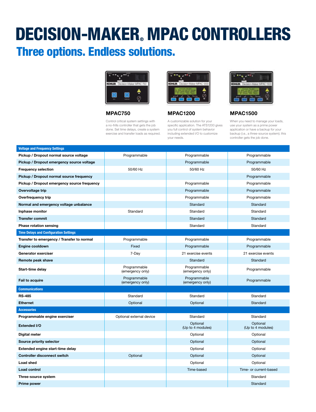### DECISION-MAKER. MPAC CONTROLLERS Three options. Endless solutions.



#### MPAC750

Control critical system settings with a no-frills controller that gets the job done. Set time delays, create a system exercise and transfer loads as required.



A customizable solution for your specific application. The ATS1200 gives you full control of system behavior including extended I/O to customize your needs.



#### MPAC1200 MPAC1500

When you need to manage your loads, use your system as a prime power application or have a backup for your backup (i.e., a three-source system); this controller gets the job done.

| <b>Voltage and Frequency Settings</b>         |                                  |                                  |                               |
|-----------------------------------------------|----------------------------------|----------------------------------|-------------------------------|
| Pickup / Dropout normal source voltage        | Programmable                     | Programmable                     | Programmable                  |
| Pickup / Dropout emergency source voltage     |                                  | Programmable                     | Programmable                  |
| <b>Frequency selection</b>                    | 50/60 Hz                         | 50/60 Hz                         | 50/60 Hz                      |
| Pickup / Dropout normal source frequency      |                                  |                                  | Programmable                  |
| Pickup / Dropout emergency source frequency   |                                  | Programmable                     | Programmable                  |
| Overvoltage trip                              |                                  | Programmable                     | Programmable                  |
| Overfrequency trip                            |                                  | Programmable                     | Programmable                  |
| Normal and emergency voltage unbalance        |                                  | Standard                         | Standard                      |
| Inphase monitor                               | Standard                         | Standard                         | Standard                      |
| <b>Transfer commit</b>                        |                                  | Standard                         | Standard                      |
| Phase rotation sensing                        |                                  | Standard                         | Standard                      |
| <b>Time Delays and Configuration Settings</b> |                                  |                                  |                               |
| Transfer to emergency / Transfer to normal    | Programmable                     | Programmable                     | Programmable                  |
| Engine cooldown                               | Fixed                            | Programmable                     | Programmable                  |
| Generator exerciser                           | 7-Day                            | 21 exercise events               | 21 exercise events            |
| Remote peak shave                             |                                  | Standard                         | Standard                      |
| Start-time delay                              | Programmable<br>(emergency only) | Programmable<br>(emergency only) | Programmable                  |
| <b>Fail to acquire</b>                        | Programmable<br>(emergency only) | Programmable<br>(emergency only) | Programmable                  |
| <b>Communications</b>                         |                                  |                                  |                               |
| <b>RS-485</b>                                 | Standard                         | Standard                         | Standard                      |
| <b>Ethernet</b>                               | Optional                         | Optional                         | Standard                      |
| <b>Accessories</b>                            |                                  |                                  |                               |
| Programmable engine exerciser                 | Optional external device         | Standard                         | Standard                      |
| Extended I/O                                  |                                  | Optional<br>(Up to 4 modules)    | Optional<br>(Up to 4 modules) |
| Digital meter                                 |                                  | Optional                         | Optional                      |
| Source priority selector                      |                                  | Optional                         | Optional                      |
| Extended engine start-time delay              |                                  | Optional                         | Optional                      |
| <b>Controller disconnect switch</b>           | Optional                         | Optional                         | Optional                      |
| <b>Load shed</b>                              |                                  | Optional                         | Optional                      |
| <b>Load control</b>                           |                                  | Time-based                       | Time- or current-based        |
| Three-source system                           |                                  |                                  | Standard                      |
| Prime power                                   |                                  |                                  | Standard                      |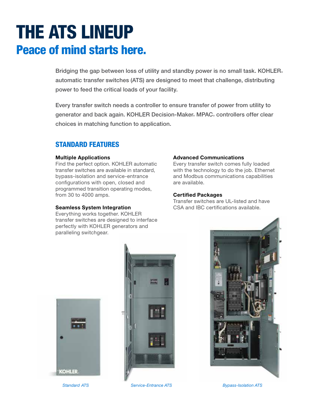### THE ATS LINEUP Peace of mind starts here.

Bridging the gap between loss of utility and standby power is no small task. KOHLER. automatic transfer switches (ATS) are designed to meet that challenge, distributing power to feed the critical loads of your facility.

Every transfer switch needs a controller to ensure transfer of power from utility to generator and back again. KOHLER Decision-Maker MPAC controllers offer clear choices in matching function to application.

#### STANDARD FEATURES

#### Multiple Applications

Find the perfect option. KOHLER automatic transfer switches are available in standard, bypass-isolation and service-entrance configurations with open, closed and programmed transition operating modes, from 30 to 4000 amps.

#### Seamless System Integration

Everything works together. KOHLER transfer switches are designed to interface perfectly with KOHLER generators and paralleling switchgear.

#### Advanced Communications

Every transfer switch comes fully loaded with the technology to do the job. Ethernet and Modbus communications capabilities are available.

#### Certified Packages

Transfer switches are UL-listed and have CSA and IBC certifications available.







*Standard ATS Service-Entrance ATS Bypass-Isolation ATS*